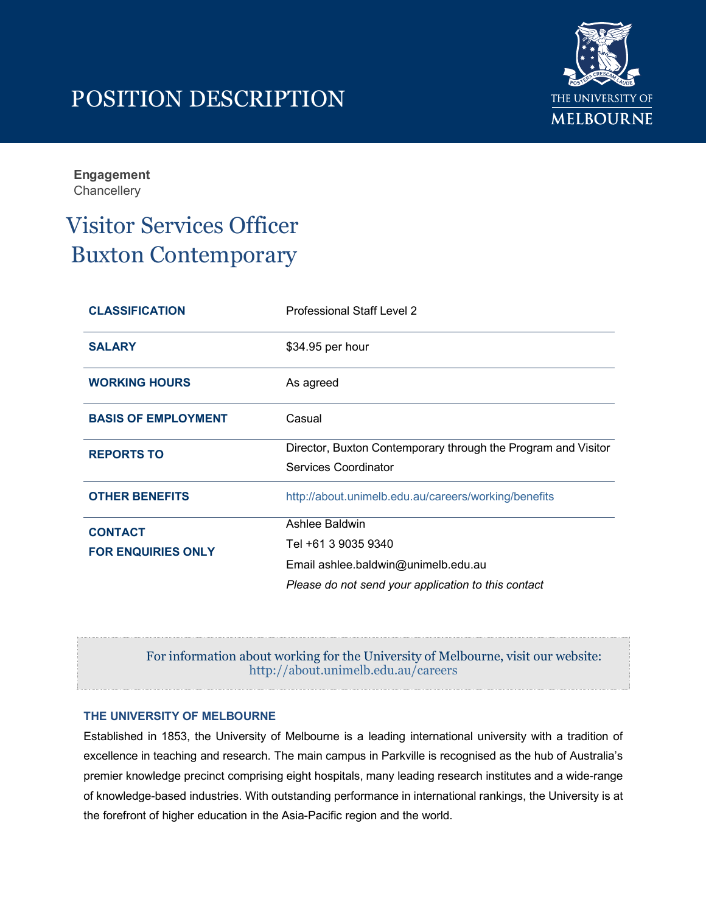# POSITION DESCRIPTION



**Engagement Chancellery** 

## Visitor Services Officer Buxton Contemporary

| <b>CLASSIFICATION</b>                       | <b>Professional Staff Level 2</b>                             |
|---------------------------------------------|---------------------------------------------------------------|
| <b>SALARY</b>                               | \$34.95 per hour                                              |
| <b>WORKING HOURS</b>                        | As agreed                                                     |
| <b>BASIS OF EMPLOYMENT</b>                  | Casual                                                        |
| <b>REPORTS TO</b>                           | Director, Buxton Contemporary through the Program and Visitor |
|                                             | Services Coordinator                                          |
| <b>OTHER BENEFITS</b>                       | http://about.unimelb.edu.au/careers/working/benefits          |
| <b>CONTACT</b><br><b>FOR ENQUIRIES ONLY</b> | Ashlee Baldwin                                                |
|                                             | Tel +61 3 9035 9340                                           |
|                                             | Email ashlee.baldwin@unimelb.edu.au                           |
|                                             | Please do not send your application to this contact           |

## For information about working for the University of Melbourne, visit our website: <http://about.unimelb.edu.au/careers>

#### **THE UNIVERSITY OF MELBOURNE**

Established in 1853, the University of Melbourne is a leading international university with a tradition of excellence in teaching and research. The main campus in Parkville is recognised as the hub of Australia's premier knowledge precinct comprising eight hospitals, many leading research institutes and a wide-range of knowledge-based industries. With outstanding performance in international rankings, the University is at the forefront of higher education in the Asia-Pacific region and the world.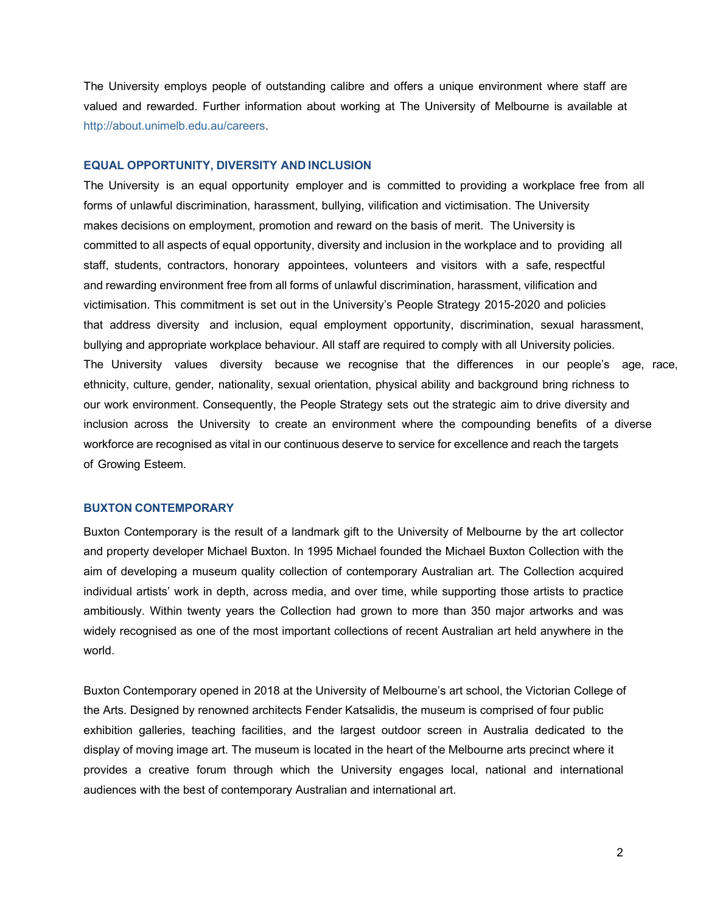The University employs people of outstanding calibre and offers a unique environment where staff are valued and rewarded. Further information about working at The University of Melbourne is available at [http://about.unimelb.edu.au/careers.](http://about.unimelb.edu.au/careers) 

#### **EQUAL OPPORTUNITY, DIVERSITY AND INCLUSION**

The University is an equal opportunity employer and is committed to providing a workplace free from all forms of unlawful discrimination, harassment, bullying, vilification and victimisation. The University makes decisions on employment, promotion and reward on the basis of merit. The University is committed to all aspects of equal opportunity, diversity and inclusion in the workplace and to providing all staff, students, contractors, honorary appointees, volunteers and visitors with a safe, respectful and rewarding environment free from all forms of unlawful discrimination, harassment, vilification and victimisation. This commitment is set out in the University's People Strategy 2015-2020 and policies that address diversity and inclusion, equal employment opportunity, discrimination, sexual harassment, bullying and appropriate workplace behaviour. All staff are required to comply with all University policies. The University values diversity because we recognise that the differences in our people's age, race, ethnicity, culture, gender, nationality, sexual orientation, physical ability and background bring richness to our work environment. Consequently, the People Strategy sets out the strategic aim to drive diversity and inclusion across the University to create an environment where the compounding benefits of a diverse workforce are recognised as vital in our continuous deserve to service for excellence and reach the targets of Growing Esteem.

#### **BUXTON CONTEMPORARY**

Buxton Contemporary is the result of a landmark gift to the University of Melbourne by the art collector and property developer Michael Buxton. In 1995 Michael founded the Michael Buxton Collection with the aim of developing a museum quality collection of contemporary Australian art. The Collection acquired individual artists' work in depth, across media, and over time, while supporting those artists to practice ambitiously. Within twenty years the Collection had grown to more than 350 major artworks and was widely recognised as one of the most important collections of recent Australian art held anywhere in the world.

Buxton Contemporary opened in 2018 at the University of Melbourne's art school, the Victorian College of the Arts. Designed by renowned architects Fender Katsalidis, the museum is comprised of four public exhibition galleries, teaching facilities, and the largest outdoor screen in Australia dedicated to the display of moving image art. The museum is located in the heart of the Melbourne arts precinct where it provides a creative forum through which the University engages local, national and international audiences with the best of contemporary Australian and international art.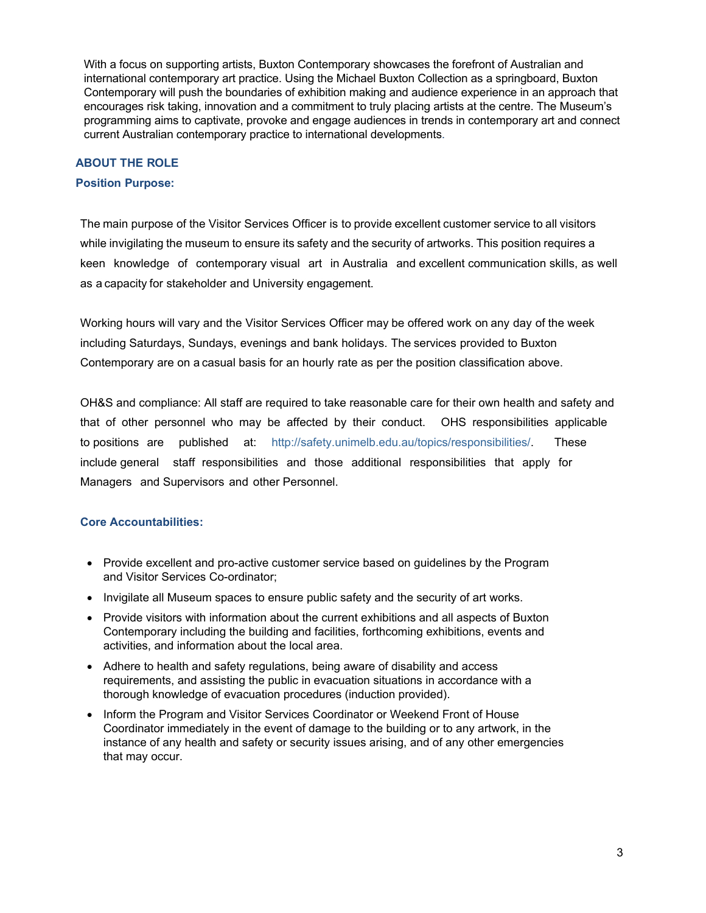With a focus on supporting artists, Buxton Contemporary showcases the forefront of Australian and international contemporary art practice. Using the Michael Buxton Collection as a springboard, Buxton Contemporary will push the boundaries of exhibition making and audience experience in an approach that encourages risk taking, innovation and a commitment to truly placing artists at the centre. The Museum's programming aims to captivate, provoke and engage audiences in trends in contemporary art and connect current Australian contemporary practice to international developments.

#### **ABOUT THE ROLE**

#### **Position Purpose:**

The main purpose of the Visitor Services Officer is to provide excellent customer service to all visitors while invigilating the museum to ensure its safety and the security of artworks. This position requires a keen knowledge of contemporary visual art in Australia and excellent communication skills, as well as a capacity for stakeholder and University engagement.

Working hours will vary and the Visitor Services Officer may be offered work on any day of the week including Saturdays, Sundays, evenings and bank holidays. The services provided to Buxton Contemporary are on a casual basis for an hourly rate as per the position classification above.

OH&S and compliance: All staff are required to take reasonable care for their own health and safety and that of other personnel who may be affected by their conduct. OHS responsibilities applicable to positions are published at: http://safety.unimelb.edu.au/topics/responsibilities/. These include general staff responsibilities and those additional responsibilities that apply for Managers and Supervisors and other Personnel.

#### **Core Accountabilities:**

- Provide excellent and pro-active customer service based on guidelines by the Program and Visitor Services Co-ordinator;
- Invigilate all Museum spaces to ensure public safety and the security of art works.
- Provide visitors with information about the current exhibitions and all aspects of Buxton Contemporary in[cluding the building and facilities, forthcoming exhibitio](http://safety.unimelb.edu.au/topics/responsibilities/)ns, events and activities, and information about the local area.
- Adhere to health and safety regulations, being aware of disability and access requirements, and assisting the public in evacuation situations in accordance with a thorough knowledge of evacuation procedures (induction provided).
- Inform the Program and Visitor Services Coordinator or Weekend Front of House Coordinator immediately in the event of damage to the building or to any artwork, in the instance of any health and safety or security issues arising, and of any other emergencies that may occur.